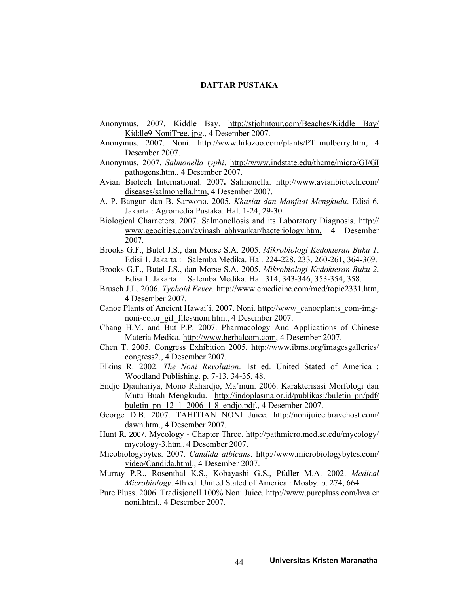## DAFTAR PUSTAKA

- Anonymus. 2007. Kiddle Bay. http://stjohntour.com/Beaches/Kiddle Bay/ Kiddle9-NoniTree. jpg., 4 Desember 2007.
- Anonymus. 2007. Noni. http://www.hilozoo.com/plants/PT\_mulberry.htm, 4 Desember 2007.
- Anonymus. 2007. Salmonella typhi. http://www.indstate.edu/thcme/micro/GI/GI pathogens.htm., 4 Desember 2007.
- Avian Biotech International. 2007. Salmonella. http://www.avianbiotech.com/ diseases/salmonella.htm, 4 Desember 2007.
- A. P. Bangun dan B. Sarwono. 2005. Khasiat dan Manfaat Mengkudu. Edisi 6. Jakarta : Agromedia Pustaka. Hal. 1-24, 29-30.
- Biological Characters. 2007. Salmonellosis and its Laboratory Diagnosis. http:// www.geocities.com/avinash\_abhyankar/bacteriology.htm, 4 Desember 2007.
- Brooks G.F., Butel J.S., dan Morse S.A. 2005. Mikrobiologi Kedokteran Buku 1. Edisi 1. Jakarta : Salemba Medika. Hal. 224-228, 233, 260-261, 364-369.
- Brooks G.F., Butel J.S., dan Morse S.A. 2005. Mikrobiologi Kedokteran Buku 2. Edisi 1. Jakarta : Salemba Medika. Hal. 314, 343-346, 353-354, 358.
- Brusch J.L. 2006. Typhoid Fever. http://www.emedicine.com/med/topic2331.htm, 4 Desember 2007.
- Canoe Plants of Ancient Hawai'i. 2007. Noni. http://www\_canoeplants\_com-imgnoni-color\_gif\_files\noni.htm., 4 Desember 2007.
- Chang H.M. and But P.P. 2007. Pharmacology And Applications of Chinese Materia Medica. http://www.herbalcom.com, 4 Desember 2007.
- Chen T. 2005. Congress Exhibition 2005. http://www.ibms.org/imagesgalleries/ congress2., 4 Desember 2007.
- Elkins R. 2002. The Noni Revolution. 1st ed. United Stated of America : Woodland Publishing. p. 7-13, 34-35, 48.
- Endjo Djauhariya, Mono Rahardjo, Ma'mun. 2006. Karakterisasi Morfologi dan Mutu Buah Mengkudu. http://indoplasma.or.id/publikasi/buletin pn/pdf/ buletin\_pn\_12\_1\_2006\_1-8\_endjo.pdf., 4 Desember 2007.
- George D.B. 2007. TAHITIAN NONI Juice. http://nonijuice.bravehost.com/ dawn.htm., 4 Desember 2007.
- Hunt R. 2007. Mycology Chapter Three. http://pathmicro.med.sc.edu/mycology/ mycology-3.htm., 4 Desember 2007.
- Micobiologybytes. 2007. Candida albicans. http://www.microbiologybytes.com/ video/Candida.html., 4 Desember 2007.
- Murray P.R., Rosenthal K.S., Kobayashi G.S., Pfaller M.A. 2002. Medical Microbiology. 4th ed. United Stated of America : Mosby. p. 274, 664.
- Pure Pluss. 2006. Tradisjonell 100% Noni Juice. http://www.purepluss.com/hva er noni.html., 4 Desember 2007.